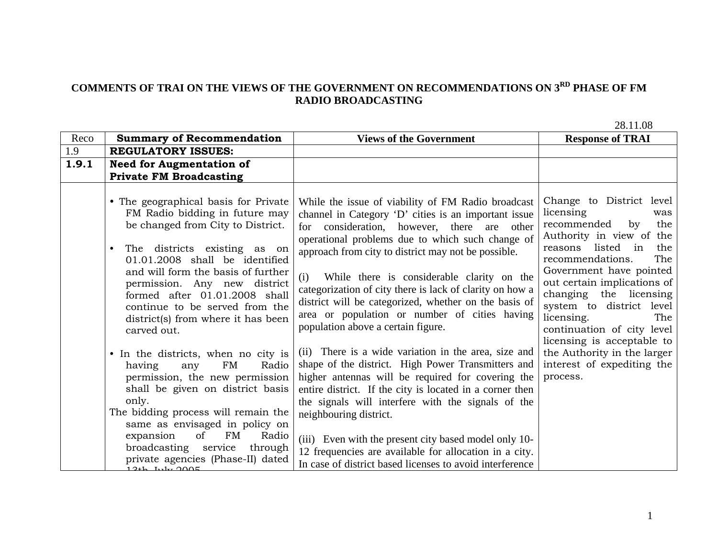## **COMMENTS OF TRAI ON THE VIEWS OF THE GOVERNMENT ON RECOMMENDATIONS ON 3RD PHASE OF FM RADIO BROADCASTING**

28.11.08

| Reco  | <b>Summary of Recommendation</b>                                                                                                                                                                                                                                                                                                                                                                                                                                                                                                                                                                                                                         | <b>Views of the Government</b>                                                                                                                                                                                                                                                                                                                                                                                                                                                                                                                                                                                                                                                                                                                                                                                                                       | <b>Response of TRAI</b>                                                                                                                                                                                                                                                                                                                                                                                                               |
|-------|----------------------------------------------------------------------------------------------------------------------------------------------------------------------------------------------------------------------------------------------------------------------------------------------------------------------------------------------------------------------------------------------------------------------------------------------------------------------------------------------------------------------------------------------------------------------------------------------------------------------------------------------------------|------------------------------------------------------------------------------------------------------------------------------------------------------------------------------------------------------------------------------------------------------------------------------------------------------------------------------------------------------------------------------------------------------------------------------------------------------------------------------------------------------------------------------------------------------------------------------------------------------------------------------------------------------------------------------------------------------------------------------------------------------------------------------------------------------------------------------------------------------|---------------------------------------------------------------------------------------------------------------------------------------------------------------------------------------------------------------------------------------------------------------------------------------------------------------------------------------------------------------------------------------------------------------------------------------|
| 1.9   | <b>REGULATORY ISSUES:</b>                                                                                                                                                                                                                                                                                                                                                                                                                                                                                                                                                                                                                                |                                                                                                                                                                                                                                                                                                                                                                                                                                                                                                                                                                                                                                                                                                                                                                                                                                                      |                                                                                                                                                                                                                                                                                                                                                                                                                                       |
| 1.9.1 | <b>Need for Augmentation of</b>                                                                                                                                                                                                                                                                                                                                                                                                                                                                                                                                                                                                                          |                                                                                                                                                                                                                                                                                                                                                                                                                                                                                                                                                                                                                                                                                                                                                                                                                                                      |                                                                                                                                                                                                                                                                                                                                                                                                                                       |
|       | <b>Private FM Broadcasting</b>                                                                                                                                                                                                                                                                                                                                                                                                                                                                                                                                                                                                                           |                                                                                                                                                                                                                                                                                                                                                                                                                                                                                                                                                                                                                                                                                                                                                                                                                                                      |                                                                                                                                                                                                                                                                                                                                                                                                                                       |
|       | • The geographical basis for Private<br>FM Radio bidding in future may<br>be changed from City to District.<br>The districts existing as on<br>٠<br>01.01.2008 shall be identified<br>and will form the basis of further<br>permission. Any new district<br>formed after 01.01.2008 shall<br>continue to be served from the<br>district(s) from where it has been<br>carved out.<br>• In the districts, when no city is<br>FM<br>Radio<br>having<br>any<br>permission, the new permission<br>shall be given on district basis<br>only.<br>The bidding process will remain the<br>same as envisaged in policy on<br>of<br><b>FM</b><br>expansion<br>Radio | While the issue of viability of FM Radio broadcast<br>channel in Category 'D' cities is an important issue<br>for consideration, however, there are other<br>operational problems due to which such change of<br>approach from city to district may not be possible.<br>(i)<br>While there is considerable clarity on the<br>categorization of city there is lack of clarity on how a<br>district will be categorized, whether on the basis of<br>area or population or number of cities having<br>population above a certain figure.<br>(ii) There is a wide variation in the area, size and<br>shape of the district. High Power Transmitters and<br>higher antennas will be required for covering the<br>entire district. If the city is located in a corner then<br>the signals will interfere with the signals of the<br>neighbouring district. | Change to District level<br>licensing<br>was<br>recommended<br>the<br>by<br>Authority in view of the<br>reasons listed in<br>the<br>recommendations.<br>The<br>Government have pointed<br>out certain implications of<br>changing the licensing<br>system to district level<br>licensing.<br>The<br>continuation of city level<br>licensing is acceptable to<br>the Authority in the larger<br>interest of expediting the<br>process. |
|       | broadcasting service<br>through<br>private agencies (Phase-II) dated<br>$124h$ Inter $900E$                                                                                                                                                                                                                                                                                                                                                                                                                                                                                                                                                              | (iii) Even with the present city based model only 10-<br>12 frequencies are available for allocation in a city.<br>In case of district based licenses to avoid interference                                                                                                                                                                                                                                                                                                                                                                                                                                                                                                                                                                                                                                                                          |                                                                                                                                                                                                                                                                                                                                                                                                                                       |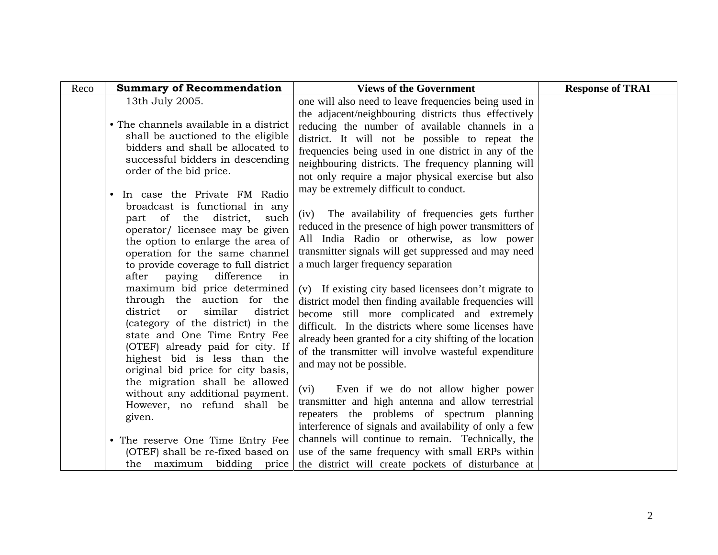| Reco | <b>Summary of Recommendation</b>                                                                                                                                                                                                                                                                                                                                                                                                                                                                                                                                                                                                                                                                              | <b>Views of the Government</b>                                                                                                                                                                                                                                                                                                                                                                                                                                                                                                                                                                                                                                                                                                                                                                                                                                                               | <b>Response of TRAI</b> |
|------|---------------------------------------------------------------------------------------------------------------------------------------------------------------------------------------------------------------------------------------------------------------------------------------------------------------------------------------------------------------------------------------------------------------------------------------------------------------------------------------------------------------------------------------------------------------------------------------------------------------------------------------------------------------------------------------------------------------|----------------------------------------------------------------------------------------------------------------------------------------------------------------------------------------------------------------------------------------------------------------------------------------------------------------------------------------------------------------------------------------------------------------------------------------------------------------------------------------------------------------------------------------------------------------------------------------------------------------------------------------------------------------------------------------------------------------------------------------------------------------------------------------------------------------------------------------------------------------------------------------------|-------------------------|
|      | 13th July 2005.<br>• The channels available in a district<br>shall be auctioned to the eligible<br>bidders and shall be allocated to<br>successful bidders in descending<br>order of the bid price.                                                                                                                                                                                                                                                                                                                                                                                                                                                                                                           | one will also need to leave frequencies being used in<br>the adjacent/neighbouring districts thus effectively<br>reducing the number of available channels in a<br>district. It will not be possible to repeat the<br>frequencies being used in one district in any of the<br>neighbouring districts. The frequency planning will<br>not only require a major physical exercise but also                                                                                                                                                                                                                                                                                                                                                                                                                                                                                                     |                         |
|      | In case the Private FM Radio<br>$\bullet$<br>broadcast is functional in any<br>district,<br>part of the<br>such<br>operator/ licensee may be given<br>the option to enlarge the area of<br>operation for the same channel<br>to provide coverage to full district<br>after<br>paying<br>difference<br>in<br>maximum bid price determined<br>through the auction for the<br>district<br>similar<br>district<br>or<br>(category of the district) in the<br>state and One Time Entry Fee<br>(OTEF) already paid for city. If<br>highest bid is less than the<br>original bid price for city basis,<br>the migration shall be allowed<br>without any additional payment.<br>However, no refund shall be<br>given. | may be extremely difficult to conduct.<br>The availability of frequencies gets further<br>(iv)<br>reduced in the presence of high power transmitters of<br>All India Radio or otherwise, as low power<br>transmitter signals will get suppressed and may need<br>a much larger frequency separation<br>(v) If existing city based licensees don't migrate to<br>district model then finding available frequencies will<br>become still more complicated and extremely<br>difficult. In the districts where some licenses have<br>already been granted for a city shifting of the location<br>of the transmitter will involve wasteful expenditure<br>and may not be possible.<br>Even if we do not allow higher power<br>(vi)<br>transmitter and high antenna and allow terrestrial<br>repeaters the problems of spectrum planning<br>interference of signals and availability of only a few |                         |
|      | • The reserve One Time Entry Fee<br>(OTEF) shall be re-fixed based on<br>the maximum bidding price                                                                                                                                                                                                                                                                                                                                                                                                                                                                                                                                                                                                            | channels will continue to remain. Technically, the<br>use of the same frequency with small ERPs within<br>the district will create pockets of disturbance at                                                                                                                                                                                                                                                                                                                                                                                                                                                                                                                                                                                                                                                                                                                                 |                         |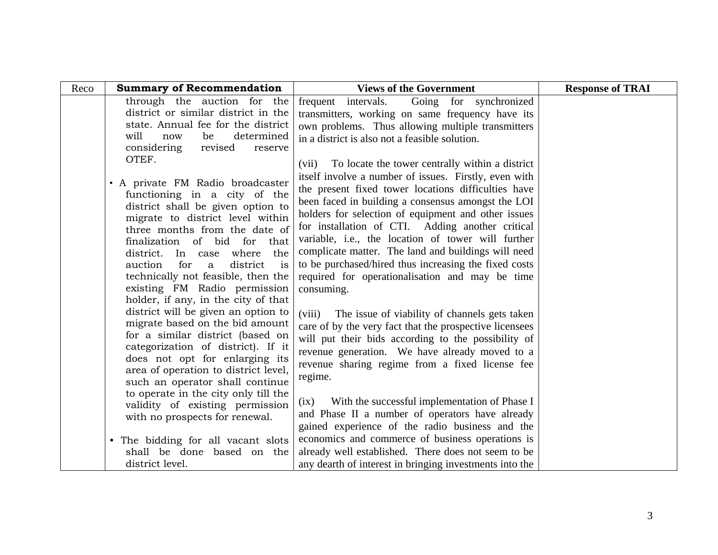| Reco | <b>Summary of Recommendation</b>                                                                                                                                                                                                                                                                                                                                                                                                                                                                                                                                                                                                                                                                                    | <b>Views of the Government</b>                                                                                                                                                                                                                                                                                                                                                                                                                                                                                                                                                                                                                                                                                                                                                                                                                                                                               | <b>Response of TRAI</b> |
|------|---------------------------------------------------------------------------------------------------------------------------------------------------------------------------------------------------------------------------------------------------------------------------------------------------------------------------------------------------------------------------------------------------------------------------------------------------------------------------------------------------------------------------------------------------------------------------------------------------------------------------------------------------------------------------------------------------------------------|--------------------------------------------------------------------------------------------------------------------------------------------------------------------------------------------------------------------------------------------------------------------------------------------------------------------------------------------------------------------------------------------------------------------------------------------------------------------------------------------------------------------------------------------------------------------------------------------------------------------------------------------------------------------------------------------------------------------------------------------------------------------------------------------------------------------------------------------------------------------------------------------------------------|-------------------------|
|      | through the auction for the<br>district or similar district in the<br>state. Annual fee for the district<br>will<br>determined<br>be<br>now<br>considering<br>revised<br>reserve<br>OTEF.<br>• A private FM Radio broadcaster<br>functioning in a city of the<br>district shall be given option to<br>migrate to district level within<br>three months from the date of<br>finalization of bid for<br>that<br>where<br>the<br>district. In case<br>for<br>auction<br>district<br>is<br>a<br>technically not feasible, then the<br>existing FM Radio permission<br>holder, if any, in the city of that<br>district will be given an option to<br>migrate based on the bid amount<br>for a similar district (based on | frequent intervals. Going for synchronized<br>transmitters, working on same frequency have its<br>own problems. Thus allowing multiple transmitters<br>in a district is also not a feasible solution.<br>(vii) To locate the tower centrally within a district<br>itself involve a number of issues. Firstly, even with<br>the present fixed tower locations difficulties have<br>been faced in building a consensus amongst the LOI<br>holders for selection of equipment and other issues<br>for installation of CTI. Adding another critical<br>variable, i.e., the location of tower will further<br>complicate matter. The land and buildings will need<br>to be purchased/hired thus increasing the fixed costs<br>required for operationalisation and may be time<br>consuming.<br>(viii)<br>The issue of viability of channels gets taken<br>care of by the very fact that the prospective licensees |                         |
|      | categorization of district). If it<br>does not opt for enlarging its<br>area of operation to district level,<br>such an operator shall continue<br>to operate in the city only till the<br>validity of existing permission                                                                                                                                                                                                                                                                                                                                                                                                                                                                                          | will put their bids according to the possibility of<br>revenue generation. We have already moved to a<br>revenue sharing regime from a fixed license fee<br>regime.<br>With the successful implementation of Phase I<br>(ix)<br>and Phase II a number of operators have already                                                                                                                                                                                                                                                                                                                                                                                                                                                                                                                                                                                                                              |                         |
|      | with no prospects for renewal.<br>• The bidding for all vacant slots<br>shall be done based on the<br>district level.                                                                                                                                                                                                                                                                                                                                                                                                                                                                                                                                                                                               | gained experience of the radio business and the<br>economics and commerce of business operations is<br>already well established. There does not seem to be<br>any dearth of interest in bringing investments into the                                                                                                                                                                                                                                                                                                                                                                                                                                                                                                                                                                                                                                                                                        |                         |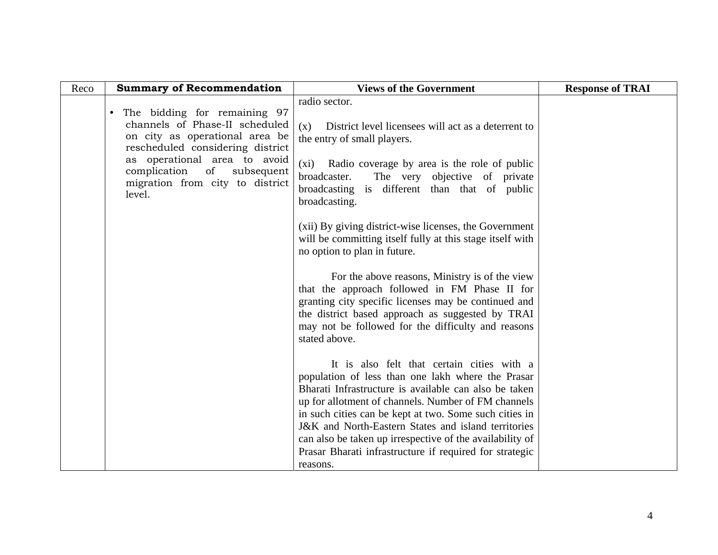| Reco | <b>Summary of Recommendation</b>                                                                                                                  | <b>Views of the Government</b>                                                                                                                                                                                                                                                     | <b>Response of TRAI</b> |
|------|---------------------------------------------------------------------------------------------------------------------------------------------------|------------------------------------------------------------------------------------------------------------------------------------------------------------------------------------------------------------------------------------------------------------------------------------|-------------------------|
|      | The bidding for remaining 97<br>$\bullet$<br>channels of Phase-II scheduled<br>on city as operational area be<br>rescheduled considering district | radio sector.<br>District level licensees will act as a deterrent to<br>(x)<br>the entry of small players.                                                                                                                                                                         |                         |
|      | as operational area to avoid<br>complication<br>of<br>subsequent<br>migration from city to district<br>level.                                     | (xi) Radio coverage by area is the role of public<br>broadcaster.<br>The very objective of private<br>broadcasting is different than that of public<br>broadcasting.                                                                                                               |                         |
|      |                                                                                                                                                   | (xii) By giving district-wise licenses, the Government<br>will be committing itself fully at this stage itself with<br>no option to plan in future.                                                                                                                                |                         |
|      |                                                                                                                                                   | For the above reasons, Ministry is of the view<br>that the approach followed in FM Phase II for<br>granting city specific licenses may be continued and<br>the district based approach as suggested by TRAI<br>may not be followed for the difficulty and reasons<br>stated above. |                         |
|      |                                                                                                                                                   | It is also felt that certain cities with a<br>population of less than one lakh where the Prasar<br>Bharati Infrastructure is available can also be taken<br>up for allotment of channels. Number of FM channels<br>in such cities can be kept at two. Some such cities in          |                         |
|      |                                                                                                                                                   | J&K and North-Eastern States and island territories<br>can also be taken up irrespective of the availability of<br>Prasar Bharati infrastructure if required for strategic<br>reasons.                                                                                             |                         |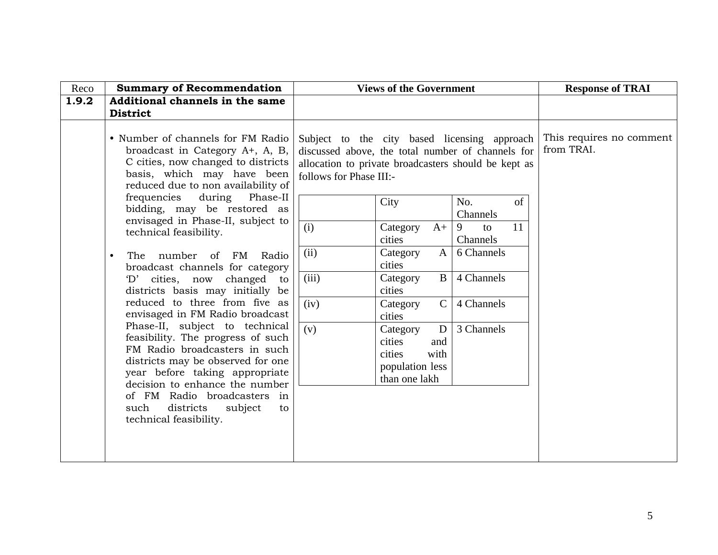| Reco  | <b>Summary of Recommendation</b>                                                                                                                                                                                                                                                                             |                                                                                                                                                                                      | <b>Views of the Government</b>                                                       |                     |    | <b>Response of TRAI</b>                |
|-------|--------------------------------------------------------------------------------------------------------------------------------------------------------------------------------------------------------------------------------------------------------------------------------------------------------------|--------------------------------------------------------------------------------------------------------------------------------------------------------------------------------------|--------------------------------------------------------------------------------------|---------------------|----|----------------------------------------|
| 1.9.2 | Additional channels in the same                                                                                                                                                                                                                                                                              |                                                                                                                                                                                      |                                                                                      |                     |    |                                        |
|       | <b>District</b>                                                                                                                                                                                                                                                                                              |                                                                                                                                                                                      |                                                                                      |                     |    |                                        |
|       | • Number of channels for FM Radio<br>broadcast in Category A+, A, B,<br>C cities, now changed to districts<br>basis, which may have been<br>reduced due to non availability of                                                                                                                               | Subject to the city based licensing approach<br>discussed above, the total number of channels for<br>allocation to private broadcasters should be kept as<br>follows for Phase III:- |                                                                                      |                     |    | This requires no comment<br>from TRAI. |
|       | frequencies<br>during<br>Phase-II<br>bidding, may be restored as                                                                                                                                                                                                                                             |                                                                                                                                                                                      | City                                                                                 | No.                 | of |                                        |
|       | envisaged in Phase-II, subject to                                                                                                                                                                                                                                                                            |                                                                                                                                                                                      |                                                                                      | Channels            |    |                                        |
|       | technical feasibility.                                                                                                                                                                                                                                                                                       | (i)                                                                                                                                                                                  | Category<br>$A+$<br>cities                                                           | 9<br>to<br>Channels | 11 |                                        |
|       | The number<br>FM<br>of<br>Radio<br>$\bullet$                                                                                                                                                                                                                                                                 | (ii)                                                                                                                                                                                 | Category<br>$\mathbf{A}$                                                             | 6 Channels          |    |                                        |
|       | broadcast channels for category                                                                                                                                                                                                                                                                              |                                                                                                                                                                                      | cities                                                                               |                     |    |                                        |
|       | cities, now<br>changed<br>$\rm D'$<br>to                                                                                                                                                                                                                                                                     | (iii)                                                                                                                                                                                | $\mathbf{B}$<br>Category                                                             | 4 Channels          |    |                                        |
|       | districts basis may initially be                                                                                                                                                                                                                                                                             |                                                                                                                                                                                      | cities                                                                               |                     |    |                                        |
|       | reduced to three from five as<br>envisaged in FM Radio broadcast                                                                                                                                                                                                                                             | (iv)                                                                                                                                                                                 | $\mathsf{C}$<br>Category<br>cities                                                   | 4 Channels          |    |                                        |
|       | Phase-II, subject to technical<br>feasibility. The progress of such<br>FM Radio broadcasters in such<br>districts may be observed for one<br>year before taking appropriate<br>decision to enhance the number<br>of FM Radio broadcasters in<br>districts<br>subject<br>such<br>to<br>technical feasibility. | (v)                                                                                                                                                                                  | D<br>Category<br>cities<br>and<br>cities<br>with<br>population less<br>than one lakh | 3 Channels          |    |                                        |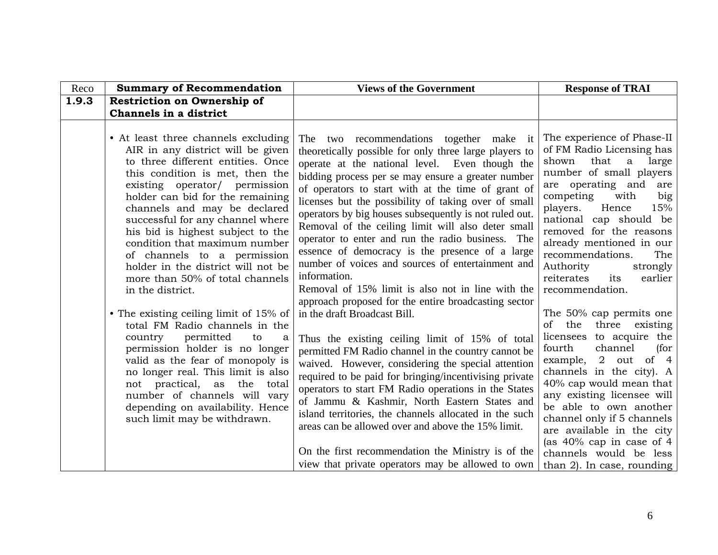| Reco  | <b>Summary of Recommendation</b>                                                                                                                                                                                                                                                                                                                                                                                                                                                                                                                                                                                                                                                                                                                                                                                                                             | <b>Views of the Government</b>                                                                                                                                                                                                                                                                                                                                                                                                                                                                                                                                                                                                                                                                                                                                                                                                                                                                                                                                                                                                                                                                                                                                                                                                                                                                                                  | <b>Response of TRAI</b>                                                                                                                                                                                                                                                                                                                                                                                                                                                                                                                                                                                                                                                                                                                                                                      |
|-------|--------------------------------------------------------------------------------------------------------------------------------------------------------------------------------------------------------------------------------------------------------------------------------------------------------------------------------------------------------------------------------------------------------------------------------------------------------------------------------------------------------------------------------------------------------------------------------------------------------------------------------------------------------------------------------------------------------------------------------------------------------------------------------------------------------------------------------------------------------------|---------------------------------------------------------------------------------------------------------------------------------------------------------------------------------------------------------------------------------------------------------------------------------------------------------------------------------------------------------------------------------------------------------------------------------------------------------------------------------------------------------------------------------------------------------------------------------------------------------------------------------------------------------------------------------------------------------------------------------------------------------------------------------------------------------------------------------------------------------------------------------------------------------------------------------------------------------------------------------------------------------------------------------------------------------------------------------------------------------------------------------------------------------------------------------------------------------------------------------------------------------------------------------------------------------------------------------|----------------------------------------------------------------------------------------------------------------------------------------------------------------------------------------------------------------------------------------------------------------------------------------------------------------------------------------------------------------------------------------------------------------------------------------------------------------------------------------------------------------------------------------------------------------------------------------------------------------------------------------------------------------------------------------------------------------------------------------------------------------------------------------------|
| 1.9.3 | <b>Restriction on Ownership of</b>                                                                                                                                                                                                                                                                                                                                                                                                                                                                                                                                                                                                                                                                                                                                                                                                                           |                                                                                                                                                                                                                                                                                                                                                                                                                                                                                                                                                                                                                                                                                                                                                                                                                                                                                                                                                                                                                                                                                                                                                                                                                                                                                                                                 |                                                                                                                                                                                                                                                                                                                                                                                                                                                                                                                                                                                                                                                                                                                                                                                              |
|       | Channels in a district                                                                                                                                                                                                                                                                                                                                                                                                                                                                                                                                                                                                                                                                                                                                                                                                                                       |                                                                                                                                                                                                                                                                                                                                                                                                                                                                                                                                                                                                                                                                                                                                                                                                                                                                                                                                                                                                                                                                                                                                                                                                                                                                                                                                 |                                                                                                                                                                                                                                                                                                                                                                                                                                                                                                                                                                                                                                                                                                                                                                                              |
|       | • At least three channels excluding<br>AIR in any district will be given<br>to three different entities. Once<br>this condition is met, then the<br>existing operator/ permission<br>holder can bid for the remaining<br>channels and may be declared<br>successful for any channel where<br>his bid is highest subject to the<br>condition that maximum number<br>of channels to a permission<br>holder in the district will not be<br>more than 50% of total channels<br>in the district.<br>• The existing ceiling limit of 15% of<br>total FM Radio channels in the<br>permitted<br>country<br>to<br>a<br>permission holder is no longer<br>valid as the fear of monopoly is<br>no longer real. This limit is also<br>not practical, as the<br>total<br>number of channels will vary<br>depending on availability. Hence<br>such limit may be withdrawn. | The two recommendations together make it<br>theoretically possible for only three large players to<br>operate at the national level. Even though the<br>bidding process per se may ensure a greater number<br>of operators to start with at the time of grant of<br>licenses but the possibility of taking over of small<br>operators by big houses subsequently is not ruled out.<br>Removal of the ceiling limit will also deter small<br>operator to enter and run the radio business. The<br>essence of democracy is the presence of a large<br>number of voices and sources of entertainment and<br>information.<br>Removal of 15% limit is also not in line with the<br>approach proposed for the entire broadcasting sector<br>in the draft Broadcast Bill.<br>Thus the existing ceiling limit of 15% of total<br>permitted FM Radio channel in the country cannot be<br>waived. However, considering the special attention<br>required to be paid for bringing/incentivising private<br>operators to start FM Radio operations in the States<br>of Jammu & Kashmir, North Eastern States and<br>island territories, the channels allocated in the such<br>areas can be allowed over and above the 15% limit.<br>On the first recommendation the Ministry is of the<br>view that private operators may be allowed to own | The experience of Phase-II<br>of FM Radio Licensing has<br>that<br>a large<br>shown<br>number of small players<br>are operating and are<br>competing<br>big<br>with<br>players.<br>Hence<br>15%<br>national cap should be<br>removed for the reasons<br>already mentioned in our<br>recommendations.<br>The<br>Authority<br>strongly<br>reiterates<br>earlier<br>its<br>recommendation.<br>The 50% cap permits one<br>of the three existing<br>licensees to acquire the<br>fourth<br>channel<br>(for<br>example, 2 out of 4<br>channels in the city). A<br>40% cap would mean that<br>any existing licensee will<br>be able to own another<br>channel only if 5 channels<br>are available in the city<br>(as $40\%$ cap in case of 4<br>channels would be less<br>than 2). In case, rounding |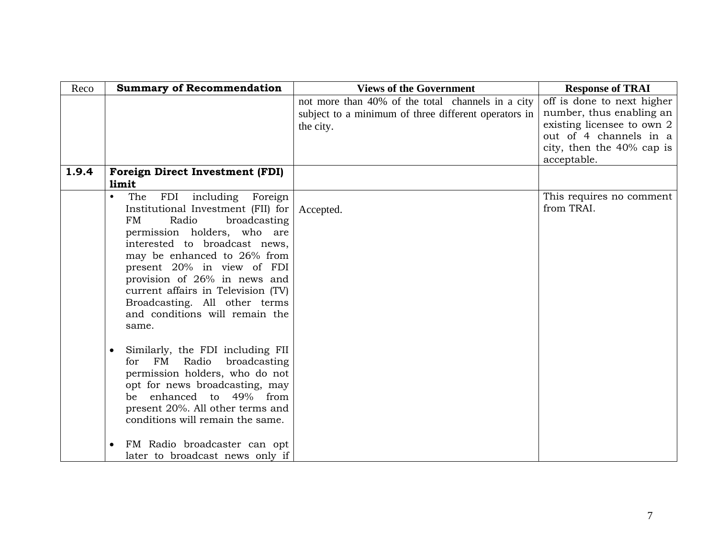| Reco  | <b>Summary of Recommendation</b>                                  | <b>Views of the Government</b>                       | <b>Response of TRAI</b>                              |
|-------|-------------------------------------------------------------------|------------------------------------------------------|------------------------------------------------------|
|       |                                                                   | not more than 40% of the total channels in a city    | off is done to next higher                           |
|       |                                                                   | subject to a minimum of three different operators in | number, thus enabling an                             |
|       |                                                                   | the city.                                            | existing licensee to own 2<br>out of 4 channels in a |
|       |                                                                   |                                                      | city, then the 40% cap is                            |
|       |                                                                   |                                                      | acceptable.                                          |
| 1.9.4 | <b>Foreign Direct Investment (FDI)</b>                            |                                                      |                                                      |
|       | limit                                                             |                                                      |                                                      |
|       | The<br>FDI including Foreign<br>$\bullet$                         |                                                      | This requires no comment                             |
|       | Institutional Investment (FII) for                                | Accepted.                                            | from TRAI.                                           |
|       | Radio<br>broadcasting<br>FM                                       |                                                      |                                                      |
|       | permission holders, who are                                       |                                                      |                                                      |
|       | interested to broadcast news,                                     |                                                      |                                                      |
|       | may be enhanced to 26% from<br>present 20% in view of FDI         |                                                      |                                                      |
|       | provision of 26% in news and                                      |                                                      |                                                      |
|       | current affairs in Television (TV)                                |                                                      |                                                      |
|       | Broadcasting. All other terms                                     |                                                      |                                                      |
|       | and conditions will remain the                                    |                                                      |                                                      |
|       | same.                                                             |                                                      |                                                      |
|       |                                                                   |                                                      |                                                      |
|       | Similarly, the FDI including FII                                  |                                                      |                                                      |
|       | Radio<br>for FM<br>broadcasting<br>permission holders, who do not |                                                      |                                                      |
|       | opt for news broadcasting, may                                    |                                                      |                                                      |
|       | enhanced to 49% from<br>be                                        |                                                      |                                                      |
|       | present 20%. All other terms and                                  |                                                      |                                                      |
|       | conditions will remain the same.                                  |                                                      |                                                      |
|       |                                                                   |                                                      |                                                      |
|       | FM Radio broadcaster can opt                                      |                                                      |                                                      |
|       | later to broadcast news only if                                   |                                                      |                                                      |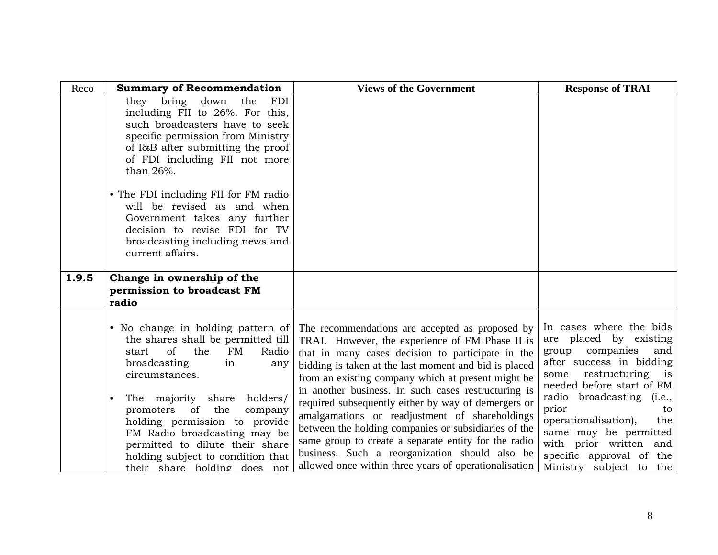| Reco  | <b>Summary of Recommendation</b>                                                                                                                                                                                                          | <b>Views of the Government</b>                                                                                                                                                                                                                                                                                                                                                          | <b>Response of TRAI</b>                                                                                                                                                           |
|-------|-------------------------------------------------------------------------------------------------------------------------------------------------------------------------------------------------------------------------------------------|-----------------------------------------------------------------------------------------------------------------------------------------------------------------------------------------------------------------------------------------------------------------------------------------------------------------------------------------------------------------------------------------|-----------------------------------------------------------------------------------------------------------------------------------------------------------------------------------|
|       | they bring down<br>the<br>FDI<br>including FII to 26%. For this,<br>such broadcasters have to seek<br>specific permission from Ministry<br>of I&B after submitting the proof<br>of FDI including FII not more<br>than 26%.                |                                                                                                                                                                                                                                                                                                                                                                                         |                                                                                                                                                                                   |
|       | • The FDI including FII for FM radio<br>will be revised as and when<br>Government takes any further<br>decision to revise FDI for TV<br>broadcasting including news and<br>current affairs.                                               |                                                                                                                                                                                                                                                                                                                                                                                         |                                                                                                                                                                                   |
| 1.9.5 | Change in ownership of the                                                                                                                                                                                                                |                                                                                                                                                                                                                                                                                                                                                                                         |                                                                                                                                                                                   |
|       | permission to broadcast FM                                                                                                                                                                                                                |                                                                                                                                                                                                                                                                                                                                                                                         |                                                                                                                                                                                   |
|       | radio                                                                                                                                                                                                                                     |                                                                                                                                                                                                                                                                                                                                                                                         |                                                                                                                                                                                   |
|       | • No change in holding pattern of<br>the shares shall be permitted till<br>of<br>FM<br>the<br>Radio<br>start<br>broadcasting<br>in<br>any<br>circumstances.                                                                               | The recommendations are accepted as proposed by<br>TRAI. However, the experience of FM Phase II is<br>that in many cases decision to participate in the<br>bidding is taken at the last moment and bid is placed<br>from an existing company which at present might be                                                                                                                  | In cases where the bids<br>are placed by existing<br>companies<br>group<br>and<br>after success in bidding<br>restructuring is<br>some<br>needed before start of FM               |
|       | The majority share<br>holders/<br>promoters of<br>the<br>company<br>holding permission to provide<br>FM Radio broadcasting may be<br>permitted to dilute their share<br>holding subject to condition that<br>their share holding does not | in another business. In such cases restructuring is<br>required subsequently either by way of demergers or<br>amalgamations or readjustment of shareholdings<br>between the holding companies or subsidiaries of the<br>same group to create a separate entity for the radio<br>business. Such a reorganization should also be<br>allowed once within three years of operationalisation | radio broadcasting (i.e.,<br>prior<br>to<br>operationalisation),<br>the<br>same may be permitted<br>with prior written and<br>specific approval of the<br>Ministry subject to the |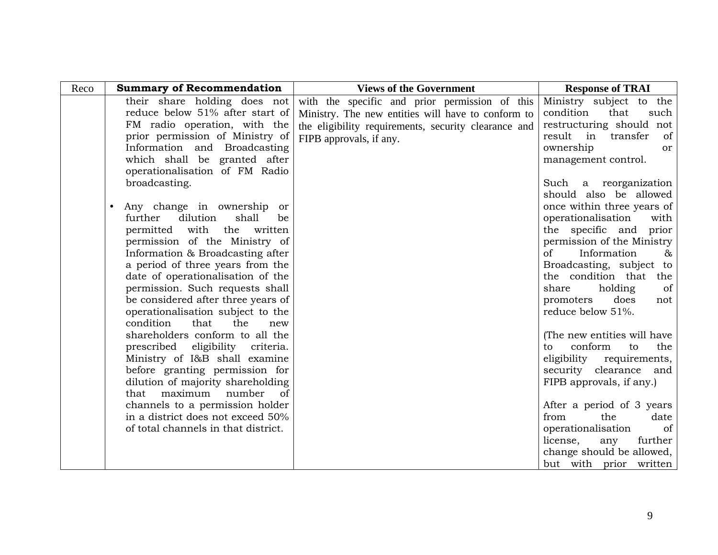| Reco | <b>Summary of Recommendation</b>                                     | <b>Views of the Government</b>                       | <b>Response of TRAI</b>             |
|------|----------------------------------------------------------------------|------------------------------------------------------|-------------------------------------|
|      | their share holding does not                                         | with the specific and prior permission of this       | Ministry subject to the             |
|      | reduce below 51% after start of                                      | Ministry. The new entities will have to conform to   | condition<br>that<br>such           |
|      | FM radio operation, with the                                         | the eligibility requirements, security clearance and | restructuring should not            |
|      | prior permission of Ministry of                                      | FIPB approvals, if any.                              | result in transfer<br><sub>of</sub> |
|      | Information and Broadcasting                                         |                                                      | ownership<br><sub>or</sub>          |
|      | which shall be granted after                                         |                                                      | management control.                 |
|      | operationalisation of FM Radio                                       |                                                      |                                     |
|      | broadcasting.                                                        |                                                      | Such a reorganization               |
|      |                                                                      |                                                      | should also be allowed              |
|      | Any change in ownership or                                           |                                                      | once within three years of          |
|      | further<br>dilution<br>shall<br>be                                   |                                                      | operationalisation<br>with          |
|      | permitted with<br>the written                                        |                                                      | the specific and prior              |
|      | permission of the Ministry of                                        |                                                      | permission of the Ministry          |
|      | Information & Broadcasting after                                     |                                                      | $\sigma$<br>Information<br>$\&$     |
|      | a period of three years from the                                     |                                                      | Broadcasting, subject to            |
|      | date of operationalisation of the                                    |                                                      | the condition that the              |
|      | permission. Such requests shall                                      |                                                      | holding<br>share<br>of              |
|      | be considered after three years of                                   |                                                      | does<br>promoters<br>not            |
|      | operationalisation subject to the                                    |                                                      | reduce below 51%.                   |
|      | condition<br>that<br>the<br>new                                      |                                                      |                                     |
|      | shareholders conform to all the                                      |                                                      | (The new entities will have         |
|      | prescribed eligibility criteria.                                     |                                                      | conform<br>to<br>to<br>the          |
|      | Ministry of I&B shall examine                                        |                                                      | eligibility requirements,           |
|      | before granting permission for                                       |                                                      | security clearance and              |
|      | dilution of majority shareholding<br>that maximum<br>number          |                                                      | FIPB approvals, if any.)            |
|      | <sub>of</sub>                                                        |                                                      | After a period of 3 years           |
|      | channels to a permission holder<br>in a district does not exceed 50% |                                                      | from<br>the<br>date                 |
|      | of total channels in that district.                                  |                                                      | operationalisation<br>of            |
|      |                                                                      |                                                      | license,<br>further<br>any          |
|      |                                                                      |                                                      | change should be allowed,           |
|      |                                                                      |                                                      | but with prior written              |
|      |                                                                      |                                                      |                                     |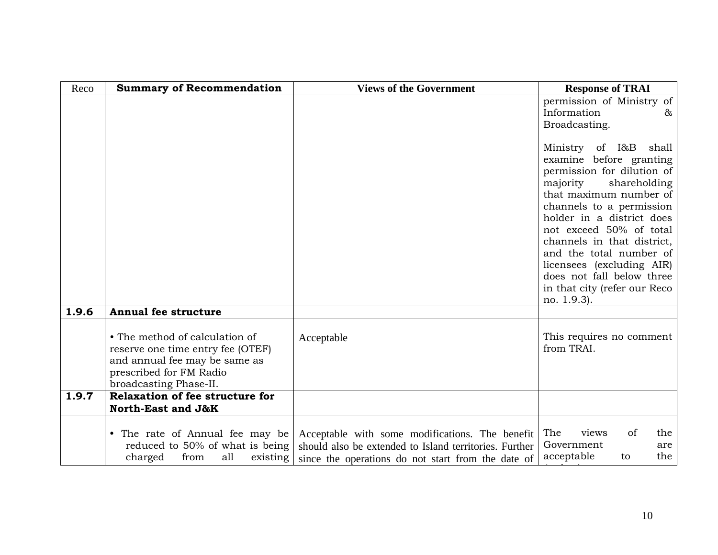| Reco  | <b>Summary of Recommendation</b>                                                                                                                          | <b>Views of the Government</b>                                                                                                                                  | <b>Response of TRAI</b>                                                                                                                                                                                                                                                                                                                                                                    |
|-------|-----------------------------------------------------------------------------------------------------------------------------------------------------------|-----------------------------------------------------------------------------------------------------------------------------------------------------------------|--------------------------------------------------------------------------------------------------------------------------------------------------------------------------------------------------------------------------------------------------------------------------------------------------------------------------------------------------------------------------------------------|
|       |                                                                                                                                                           |                                                                                                                                                                 | permission of Ministry of<br>Information<br>&                                                                                                                                                                                                                                                                                                                                              |
|       |                                                                                                                                                           |                                                                                                                                                                 | Broadcasting.                                                                                                                                                                                                                                                                                                                                                                              |
|       |                                                                                                                                                           |                                                                                                                                                                 | Ministry of I&B shall<br>examine before granting<br>permission for dilution of<br>majority<br>shareholding<br>that maximum number of<br>channels to a permission<br>holder in a district does<br>not exceed 50% of total<br>channels in that district,<br>and the total number of<br>licensees (excluding AIR)<br>does not fall below three<br>in that city (refer our Reco<br>no. 1.9.3). |
| 1.9.6 | <b>Annual fee structure</b>                                                                                                                               |                                                                                                                                                                 |                                                                                                                                                                                                                                                                                                                                                                                            |
|       | • The method of calculation of<br>reserve one time entry fee (OTEF)<br>and annual fee may be same as<br>prescribed for FM Radio<br>broadcasting Phase-II. | Acceptable                                                                                                                                                      | This requires no comment<br>from TRAI.                                                                                                                                                                                                                                                                                                                                                     |
| 1.9.7 | Relaxation of fee structure for<br>North-East and J&K                                                                                                     |                                                                                                                                                                 |                                                                                                                                                                                                                                                                                                                                                                                            |
|       | • The rate of Annual fee may be<br>reduced to 50% of what is being<br>charged<br>from<br>all<br>existing                                                  | Acceptable with some modifications. The benefit<br>should also be extended to Island territories. Further<br>since the operations do not start from the date of | The<br>of<br>views<br>the<br>Government<br>are<br>acceptable<br>the<br>to                                                                                                                                                                                                                                                                                                                  |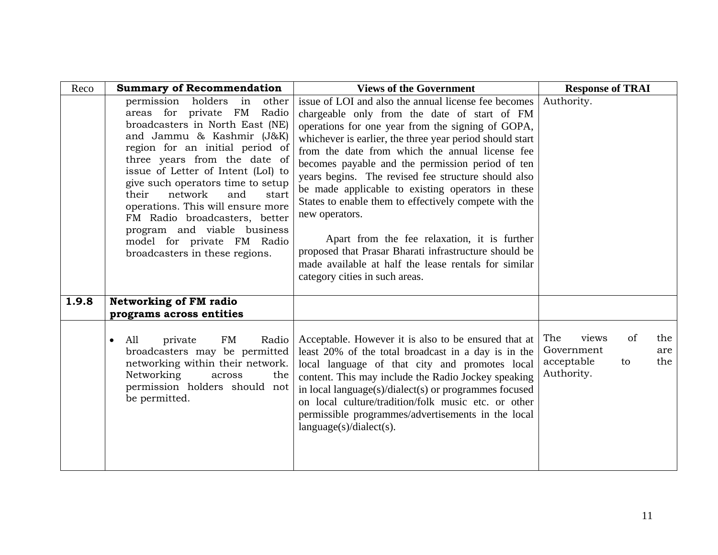| Reco  | <b>Summary of Recommendation</b>                                                                                                                                                                                                                                                                                                                                                                                                                                                       | <b>Views of the Government</b>                                                                                                                                                                                                                                                                                                                                                                                                                                                                                                                                                                                                                                                                                         | <b>Response of TRAI</b>                                                                 |
|-------|----------------------------------------------------------------------------------------------------------------------------------------------------------------------------------------------------------------------------------------------------------------------------------------------------------------------------------------------------------------------------------------------------------------------------------------------------------------------------------------|------------------------------------------------------------------------------------------------------------------------------------------------------------------------------------------------------------------------------------------------------------------------------------------------------------------------------------------------------------------------------------------------------------------------------------------------------------------------------------------------------------------------------------------------------------------------------------------------------------------------------------------------------------------------------------------------------------------------|-----------------------------------------------------------------------------------------|
|       | permission holders in<br>other<br>areas for private FM<br>Radio<br>broadcasters in North East (NE)<br>and Jammu & Kashmir (J&K)<br>region for an initial period of<br>three years from the date of<br>issue of Letter of Intent (LoI) to<br>give such operators time to setup<br>network<br>their<br>and<br>start<br>operations. This will ensure more<br>FM Radio broadcasters, better<br>program and viable business<br>model for private FM Radio<br>broadcasters in these regions. | issue of LOI and also the annual license fee becomes<br>chargeable only from the date of start of FM<br>operations for one year from the signing of GOPA,<br>whichever is earlier, the three year period should start<br>from the date from which the annual license fee<br>becomes payable and the permission period of ten<br>years begins. The revised fee structure should also<br>be made applicable to existing operators in these<br>States to enable them to effectively compete with the<br>new operators.<br>Apart from the fee relaxation, it is further<br>proposed that Prasar Bharati infrastructure should be<br>made available at half the lease rentals for similar<br>category cities in such areas. | Authority.                                                                              |
| 1.9.8 | <b>Networking of FM radio</b><br>programs across entities                                                                                                                                                                                                                                                                                                                                                                                                                              |                                                                                                                                                                                                                                                                                                                                                                                                                                                                                                                                                                                                                                                                                                                        |                                                                                         |
|       | FM<br>Radio<br>All<br>private<br>$\bullet$<br>broadcasters may be permitted<br>networking within their network.<br>Networking<br>the<br>across<br>permission holders should not<br>be permitted.                                                                                                                                                                                                                                                                                       | Acceptable. However it is also to be ensured that at<br>least 20% of the total broadcast in a day is in the<br>local language of that city and promotes local<br>content. This may include the Radio Jockey speaking<br>in local language(s)/dialect(s) or programmes focused<br>on local culture/tradition/folk music etc. or other<br>permissible programmes/advertisements in the local<br>language(s)/dialect(s).                                                                                                                                                                                                                                                                                                  | The<br>of<br>the<br>views<br>Government<br>are<br>the<br>acceptable<br>to<br>Authority. |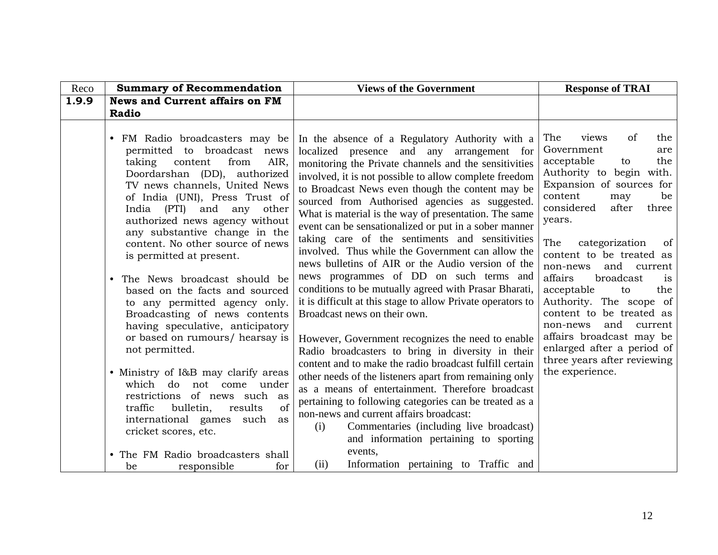| Reco  | <b>Summary of Recommendation</b>                                                                                                                                                                                                                                                                          | <b>Views of the Government</b>                                                                                                                                                                                                                                                                                                                                                                                                                                                              | <b>Response of TRAI</b>                                                                                                                                                                                                                                                                    |
|-------|-----------------------------------------------------------------------------------------------------------------------------------------------------------------------------------------------------------------------------------------------------------------------------------------------------------|---------------------------------------------------------------------------------------------------------------------------------------------------------------------------------------------------------------------------------------------------------------------------------------------------------------------------------------------------------------------------------------------------------------------------------------------------------------------------------------------|--------------------------------------------------------------------------------------------------------------------------------------------------------------------------------------------------------------------------------------------------------------------------------------------|
| 1.9.9 | <b>News and Current affairs on FM</b>                                                                                                                                                                                                                                                                     |                                                                                                                                                                                                                                                                                                                                                                                                                                                                                             |                                                                                                                                                                                                                                                                                            |
|       | Radio                                                                                                                                                                                                                                                                                                     |                                                                                                                                                                                                                                                                                                                                                                                                                                                                                             |                                                                                                                                                                                                                                                                                            |
|       | FM Radio broadcasters may be<br>permitted to broadcast news<br>AIR,<br>taking<br>content<br>from<br>Doordarshan (DD), authorized<br>TV news channels, United News<br>of India (UNI), Press Trust of<br>India (PTI) and<br>other<br>any<br>authorized news agency without<br>any substantive change in the | In the absence of a Regulatory Authority with a<br>localized presence and any arrangement for<br>monitoring the Private channels and the sensitivities<br>involved, it is not possible to allow complete freedom<br>to Broadcast News even though the content may be<br>sourced from Authorised agencies as suggested.<br>What is material is the way of presentation. The same<br>event can be sensationalized or put in a sober manner<br>taking care of the sentiments and sensitivities | <sub>of</sub><br>the<br>The<br>views<br>Government<br>are<br>acceptable<br>the<br>to<br>Authority to begin with.<br>Expansion of sources for<br>content<br>be<br>may<br>considered<br>after<br>three<br>years.                                                                             |
|       | content. No other source of news<br>is permitted at present.<br>The News broadcast should be<br>$\bullet$<br>based on the facts and sourced<br>to any permitted agency only.<br>Broadcasting of news contents<br>having speculative, anticipatory<br>or based on rumours/ hearsay is<br>not permitted.    | involved. Thus while the Government can allow the<br>news bulletins of AIR or the Audio version of the<br>news programmes of DD on such terms and<br>conditions to be mutually agreed with Prasar Bharati,<br>it is difficult at this stage to allow Private operators to<br>Broadcast news on their own.<br>However, Government recognizes the need to enable<br>Radio broadcasters to bring in diversity in their                                                                         | The<br>categorization<br>of<br>content to be treated as<br>and current<br>non-news<br>affairs<br>broadcast<br>is<br>acceptable<br>the<br>to<br>Authority. The scope of<br>content to be treated as<br>and<br>current<br>non-news<br>affairs broadcast may be<br>enlarged after a period of |
|       | • Ministry of I&B may clarify areas<br>which do not come under<br>restrictions of news such as<br>of<br>traffic<br>bulletin,<br>results<br>international games<br>such<br>as<br>cricket scores, etc.                                                                                                      | content and to make the radio broadcast fulfill certain<br>other needs of the listeners apart from remaining only<br>as a means of entertainment. Therefore broadcast<br>pertaining to following categories can be treated as a<br>non-news and current affairs broadcast:<br>Commentaries (including live broadcast)<br>(i)<br>and information pertaining to sporting<br>events,                                                                                                           | three years after reviewing<br>the experience.                                                                                                                                                                                                                                             |
|       | The FM Radio broadcasters shall<br>responsible<br>for<br>be                                                                                                                                                                                                                                               | (ii)<br>Information pertaining to Traffic and                                                                                                                                                                                                                                                                                                                                                                                                                                               |                                                                                                                                                                                                                                                                                            |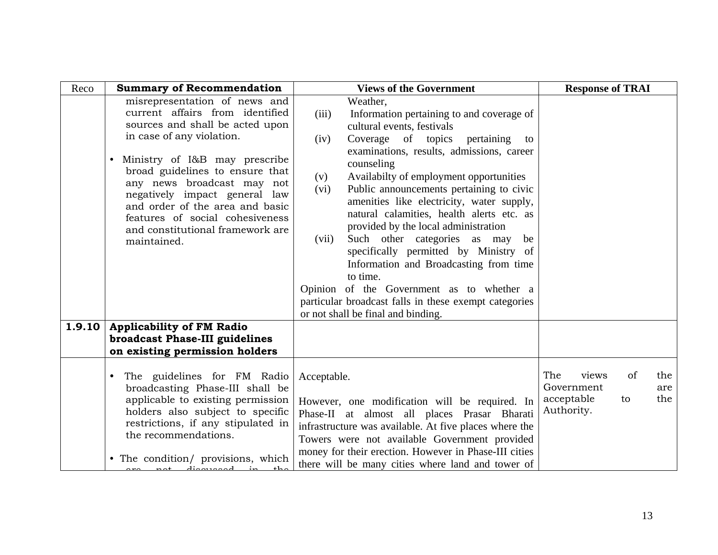| Reco   | <b>Summary of Recommendation</b>                                                                                                                                                                                                                                                                                                                                                             | <b>Views of the Government</b>                                                                                                                                                                                                                                                                                                                                                                                                                                                                                                                                                                                                                                                                                                           | <b>Response of TRAI</b>                                                                 |
|--------|----------------------------------------------------------------------------------------------------------------------------------------------------------------------------------------------------------------------------------------------------------------------------------------------------------------------------------------------------------------------------------------------|------------------------------------------------------------------------------------------------------------------------------------------------------------------------------------------------------------------------------------------------------------------------------------------------------------------------------------------------------------------------------------------------------------------------------------------------------------------------------------------------------------------------------------------------------------------------------------------------------------------------------------------------------------------------------------------------------------------------------------------|-----------------------------------------------------------------------------------------|
|        | misrepresentation of news and<br>current affairs from identified<br>sources and shall be acted upon<br>in case of any violation.<br>Ministry of I&B may prescribe<br>broad guidelines to ensure that<br>any news broadcast may not<br>negatively impact general law<br>and order of the area and basic<br>features of social cohesiveness<br>and constitutional framework are<br>maintained. | Weather,<br>Information pertaining to and coverage of<br>(iii)<br>cultural events, festivals<br>Coverage of topics pertaining<br>(iv)<br>to<br>examinations, results, admissions, career<br>counseling<br>Availabilty of employment opportunities<br>(v)<br>Public announcements pertaining to civic<br>(vi)<br>amenities like electricity, water supply,<br>natural calamities, health alerts etc. as<br>provided by the local administration<br>Such other categories as may<br>(vii)<br>be<br>specifically permitted by Ministry of<br>Information and Broadcasting from time<br>to time.<br>Opinion of the Government as to whether a<br>particular broadcast falls in these exempt categories<br>or not shall be final and binding. |                                                                                         |
| 1.9.10 | <b>Applicability of FM Radio</b><br>broadcast Phase-III guidelines                                                                                                                                                                                                                                                                                                                           |                                                                                                                                                                                                                                                                                                                                                                                                                                                                                                                                                                                                                                                                                                                                          |                                                                                         |
|        | on existing permission holders                                                                                                                                                                                                                                                                                                                                                               |                                                                                                                                                                                                                                                                                                                                                                                                                                                                                                                                                                                                                                                                                                                                          |                                                                                         |
|        | The guidelines for FM Radio<br>broadcasting Phase-III shall be<br>applicable to existing permission<br>holders also subject to specific<br>restrictions, if any stipulated in<br>the recommendations.<br>• The condition/ provisions, which<br>not discussed                                                                                                                                 | Acceptable.<br>However, one modification will be required. In<br>Phase-II at almost all places Prasar Bharati<br>infrastructure was available. At five places where the<br>Towers were not available Government provided<br>money for their erection. However in Phase-III cities<br>there will be many cities where land and tower of                                                                                                                                                                                                                                                                                                                                                                                                   | The<br>of<br>views<br>the<br>Government<br>are<br>acceptable<br>the<br>to<br>Authority. |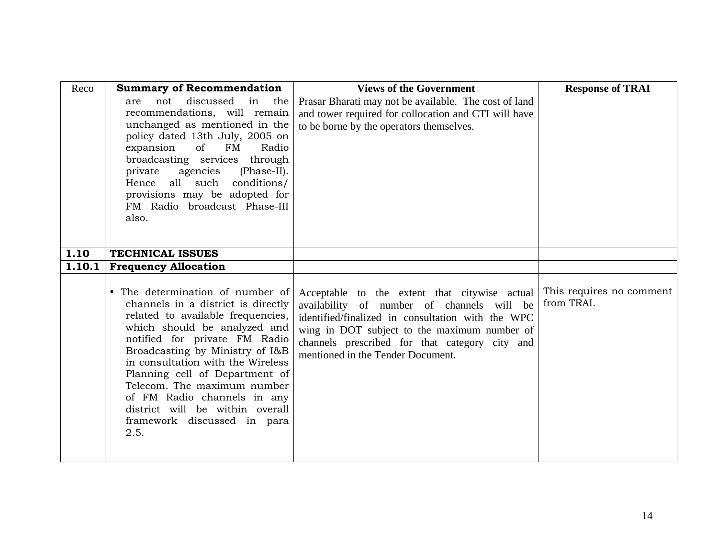| Reco   | <b>Summary of Recommendation</b>                                                                                                                                                                                                                                                                                                                                                                                               | <b>Views of the Government</b>                                                                                                                                                                                                                                                          | <b>Response of TRAI</b>                |
|--------|--------------------------------------------------------------------------------------------------------------------------------------------------------------------------------------------------------------------------------------------------------------------------------------------------------------------------------------------------------------------------------------------------------------------------------|-----------------------------------------------------------------------------------------------------------------------------------------------------------------------------------------------------------------------------------------------------------------------------------------|----------------------------------------|
|        | discussed<br>not<br>in<br>the<br>are<br>recommendations, will remain<br>unchanged as mentioned in the<br>policy dated 13th July, 2005 on<br>expansion<br>of<br>FM<br>Radio<br>broadcasting services through<br>private agencies<br>(Phase-II).<br>Hence all such conditions/<br>provisions may be adopted for<br>FM Radio broadcast Phase-III<br>also.                                                                         | Prasar Bharati may not be available. The cost of land<br>and tower required for collocation and CTI will have<br>to be borne by the operators themselves.                                                                                                                               |                                        |
| 1.10   | <b>TECHNICAL ISSUES</b>                                                                                                                                                                                                                                                                                                                                                                                                        |                                                                                                                                                                                                                                                                                         |                                        |
| 1.10.1 | <b>Frequency Allocation</b>                                                                                                                                                                                                                                                                                                                                                                                                    |                                                                                                                                                                                                                                                                                         |                                        |
|        | • The determination of number of<br>channels in a district is directly<br>related to available frequencies,<br>which should be analyzed and<br>notified for private FM Radio<br>Broadcasting by Ministry of I&B<br>in consultation with the Wireless<br>Planning cell of Department of<br>Telecom. The maximum number<br>of FM Radio channels in any<br>district will be within overall<br>framework discussed in para<br>2.5. | Acceptable to the extent that citywise actual<br>availability of number of channels will be<br>identified/finalized in consultation with the WPC<br>wing in DOT subject to the maximum number of<br>channels prescribed for that category city and<br>mentioned in the Tender Document. | This requires no comment<br>from TRAI. |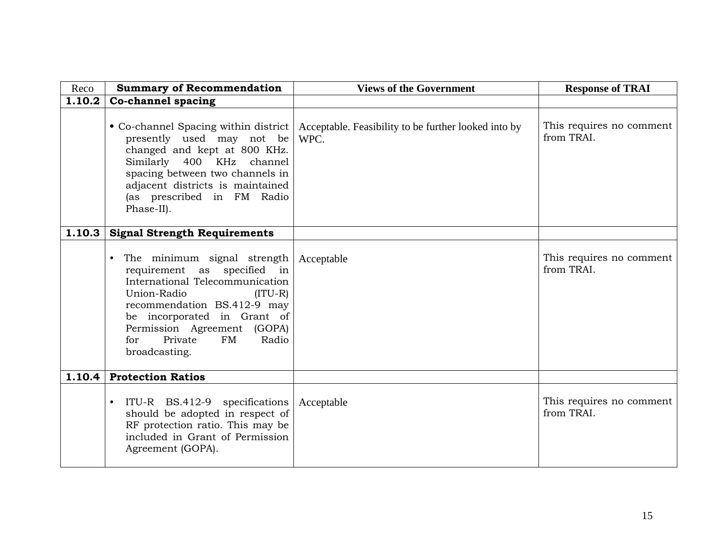| Reco   | <b>Summary of Recommendation</b>                                                                                                                                                                                                                                                      | <b>Views of the Government</b>                               | <b>Response of TRAI</b>                |
|--------|---------------------------------------------------------------------------------------------------------------------------------------------------------------------------------------------------------------------------------------------------------------------------------------|--------------------------------------------------------------|----------------------------------------|
| 1.10.2 | <b>Co-channel spacing</b>                                                                                                                                                                                                                                                             |                                                              |                                        |
|        | • Co-channel Spacing within district<br>presently used may not be<br>changed and kept at 800 KHz.<br>Similarly 400 KHz channel<br>spacing between two channels in<br>adjacent districts is maintained<br>(as prescribed in FM Radio<br>Phase-II).                                     | Acceptable. Feasibility to be further looked into by<br>WPC. | This requires no comment<br>from TRAI. |
| 1.10.3 | <b>Signal Strength Requirements</b>                                                                                                                                                                                                                                                   |                                                              |                                        |
|        | The minimum signal strength<br>$\bullet$<br>requirement as specified in<br>International Telecommunication<br>Union-Radio<br>$(ITU-R)$<br>recommendation BS.412-9 may<br>be incorporated in Grant of<br>Permission Agreement (GOPA)<br>Private<br>FM<br>for<br>Radio<br>broadcasting. | Acceptable                                                   | This requires no comment<br>from TRAI. |
| 1.10.4 | <b>Protection Ratios</b>                                                                                                                                                                                                                                                              |                                                              |                                        |
|        | ITU-R BS.412-9 specifications<br>$\bullet$<br>should be adopted in respect of<br>RF protection ratio. This may be<br>included in Grant of Permission<br>Agreement (GOPA).                                                                                                             | Acceptable                                                   | This requires no comment<br>from TRAI. |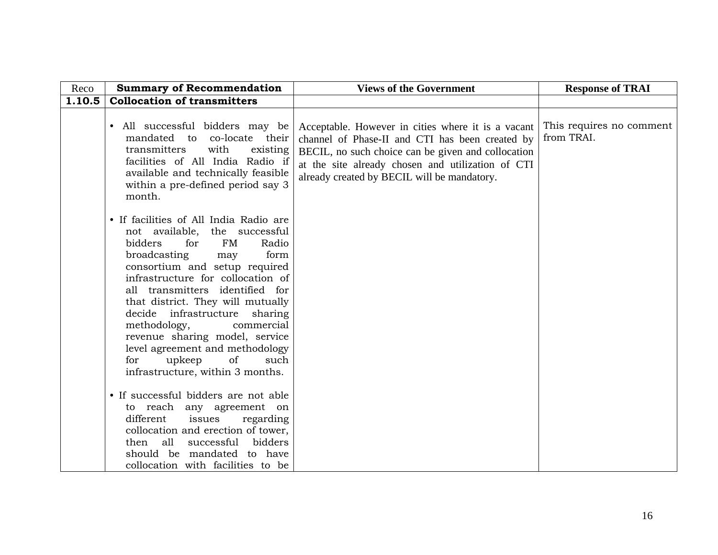| Reco   | <b>Summary of Recommendation</b>                                                                                                                                                                                                                                                                                                                                                                                                                                                                | <b>Views of the Government</b>                                                                                                                                                                                                                                  | <b>Response of TRAI</b>                |
|--------|-------------------------------------------------------------------------------------------------------------------------------------------------------------------------------------------------------------------------------------------------------------------------------------------------------------------------------------------------------------------------------------------------------------------------------------------------------------------------------------------------|-----------------------------------------------------------------------------------------------------------------------------------------------------------------------------------------------------------------------------------------------------------------|----------------------------------------|
| 1.10.5 | <b>Collocation of transmitters</b>                                                                                                                                                                                                                                                                                                                                                                                                                                                              |                                                                                                                                                                                                                                                                 |                                        |
|        | • All successful bidders may be<br>mandated to<br>co-locate their<br>transmitters<br>with<br>existing<br>facilities of All India Radio if<br>available and technically feasible<br>within a pre-defined period say 3<br>month.                                                                                                                                                                                                                                                                  | Acceptable. However in cities where it is a vacant<br>channel of Phase-II and CTI has been created by<br>BECIL, no such choice can be given and collocation<br>at the site already chosen and utilization of CTI<br>already created by BECIL will be mandatory. | This requires no comment<br>from TRAI. |
|        | • If facilities of All India Radio are<br>not available, the successful<br>bidders<br>for<br>FM<br>Radio<br>broadcasting<br>form<br>may<br>consortium and setup required<br>infrastructure for collocation of<br>all transmitters identified for<br>that district. They will mutually<br>decide infrastructure<br>sharing<br>methodology,<br>commercial<br>revenue sharing model, service<br>level agreement and methodology<br>upkeep<br>of<br>such<br>for<br>infrastructure, within 3 months. |                                                                                                                                                                                                                                                                 |                                        |
|        | • If successful bidders are not able<br>to reach any agreement on<br>different<br>issues<br>regarding<br>collocation and erection of tower,<br>all<br>successful<br>bidders<br>then<br>should be mandated to have<br>collocation with facilities to be                                                                                                                                                                                                                                          |                                                                                                                                                                                                                                                                 |                                        |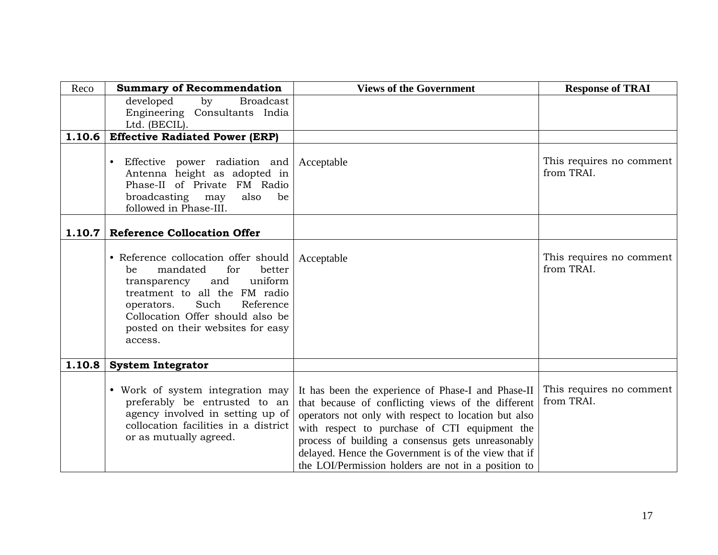| Reco   | <b>Summary of Recommendation</b>                                                                                                                                                                                                                                  | <b>Views of the Government</b>                                                                                                                                                                                                                                                                                                                                                        | <b>Response of TRAI</b>                |
|--------|-------------------------------------------------------------------------------------------------------------------------------------------------------------------------------------------------------------------------------------------------------------------|---------------------------------------------------------------------------------------------------------------------------------------------------------------------------------------------------------------------------------------------------------------------------------------------------------------------------------------------------------------------------------------|----------------------------------------|
|        | developed<br>by<br><b>Broadcast</b>                                                                                                                                                                                                                               |                                                                                                                                                                                                                                                                                                                                                                                       |                                        |
|        | Engineering Consultants India<br>Ltd. (BECIL).                                                                                                                                                                                                                    |                                                                                                                                                                                                                                                                                                                                                                                       |                                        |
| 1.10.6 | <b>Effective Radiated Power (ERP)</b>                                                                                                                                                                                                                             |                                                                                                                                                                                                                                                                                                                                                                                       |                                        |
|        | Effective power radiation and<br>$\bullet$<br>Antenna height as adopted in<br>Phase-II of Private FM Radio<br>broadcasting<br>may<br>also<br>be<br>followed in Phase-III.                                                                                         | Acceptable                                                                                                                                                                                                                                                                                                                                                                            | This requires no comment<br>from TRAI. |
| 1.10.7 | <b>Reference Collocation Offer</b>                                                                                                                                                                                                                                |                                                                                                                                                                                                                                                                                                                                                                                       |                                        |
|        | • Reference collocation offer should<br>mandated<br>better<br>for<br>be<br>uniform<br>and<br>transparency<br>treatment to all the FM radio<br>Such<br>Reference<br>operators.<br>Collocation Offer should also be<br>posted on their websites for easy<br>access. | Acceptable                                                                                                                                                                                                                                                                                                                                                                            | This requires no comment<br>from TRAI. |
| 1.10.8 | <b>System Integrator</b>                                                                                                                                                                                                                                          |                                                                                                                                                                                                                                                                                                                                                                                       |                                        |
|        | • Work of system integration may<br>preferably be entrusted to an<br>agency involved in setting up of<br>collocation facilities in a district<br>or as mutually agreed.                                                                                           | It has been the experience of Phase-I and Phase-II<br>that because of conflicting views of the different<br>operators not only with respect to location but also<br>with respect to purchase of CTI equipment the<br>process of building a consensus gets unreasonably<br>delayed. Hence the Government is of the view that if<br>the LOI/Permission holders are not in a position to | This requires no comment<br>from TRAI. |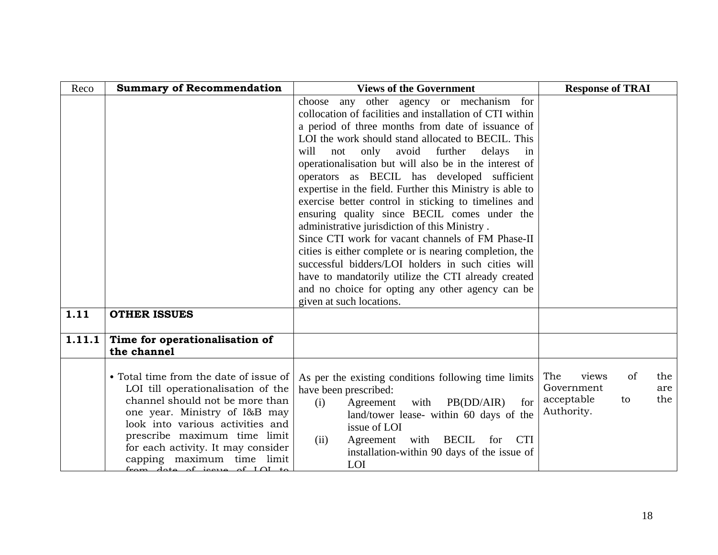| Reco   | <b>Summary of Recommendation</b>                                                                                                                                                                                                                                                                                        | <b>Views of the Government</b>                                                                                                                                                                                                                                                                                                                                                                                                                                                                                                                                                                                                                                                                                                                                                                                                                                                                                        | <b>Response of TRAI</b>                                                                 |
|--------|-------------------------------------------------------------------------------------------------------------------------------------------------------------------------------------------------------------------------------------------------------------------------------------------------------------------------|-----------------------------------------------------------------------------------------------------------------------------------------------------------------------------------------------------------------------------------------------------------------------------------------------------------------------------------------------------------------------------------------------------------------------------------------------------------------------------------------------------------------------------------------------------------------------------------------------------------------------------------------------------------------------------------------------------------------------------------------------------------------------------------------------------------------------------------------------------------------------------------------------------------------------|-----------------------------------------------------------------------------------------|
|        |                                                                                                                                                                                                                                                                                                                         | any other agency or mechanism for<br>choose<br>collocation of facilities and installation of CTI within<br>a period of three months from date of issuance of<br>LOI the work should stand allocated to BECIL. This<br>avoid further<br>only<br>delays<br>will<br>not<br>in<br>operationalisation but will also be in the interest of<br>operators as BECIL has developed sufficient<br>expertise in the field. Further this Ministry is able to<br>exercise better control in sticking to timelines and<br>ensuring quality since BECIL comes under the<br>administrative jurisdiction of this Ministry.<br>Since CTI work for vacant channels of FM Phase-II<br>cities is either complete or is nearing completion, the<br>successful bidders/LOI holders in such cities will<br>have to mandatorily utilize the CTI already created<br>and no choice for opting any other agency can be<br>given at such locations. |                                                                                         |
| 1.11   | <b>OTHER ISSUES</b>                                                                                                                                                                                                                                                                                                     |                                                                                                                                                                                                                                                                                                                                                                                                                                                                                                                                                                                                                                                                                                                                                                                                                                                                                                                       |                                                                                         |
| 1.11.1 | Time for operationalisation of<br>the channel                                                                                                                                                                                                                                                                           |                                                                                                                                                                                                                                                                                                                                                                                                                                                                                                                                                                                                                                                                                                                                                                                                                                                                                                                       |                                                                                         |
|        | • Total time from the date of issue of<br>LOI till operationalisation of the<br>channel should not be more than<br>one year. Ministry of I&B may<br>look into various activities and<br>prescribe maximum time limit<br>for each activity. It may consider<br>capping maximum time limit<br>from data of igns of IQI to | As per the existing conditions following time limits<br>have been prescribed:<br>with $PB(DD/AIR)$<br>(i)<br>Agreement<br>for<br>land/tower lease- within 60 days of the<br>issue of LOI<br><b>BECIL</b><br><b>CTI</b><br>Agreement<br>with<br>(ii)<br>for<br>installation-within 90 days of the issue of<br>LOI                                                                                                                                                                                                                                                                                                                                                                                                                                                                                                                                                                                                      | of<br>The<br>views<br>the<br>Government<br>are<br>acceptable<br>the<br>to<br>Authority. |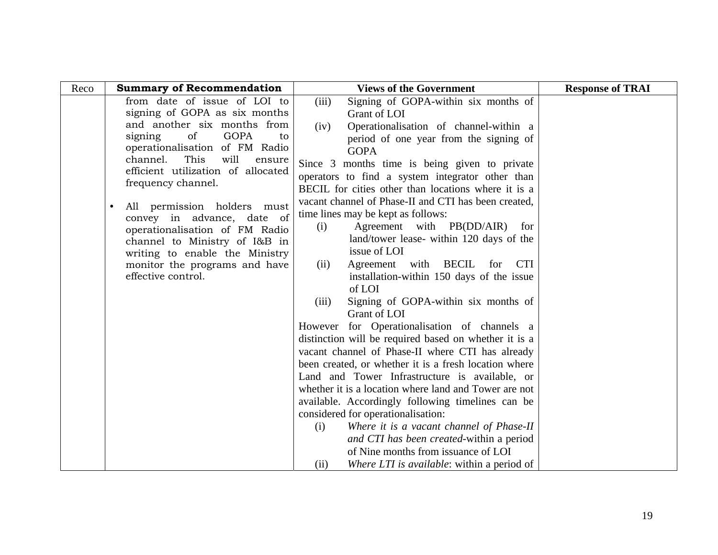| Reco      | <b>Summary of Recommendation</b>                                | <b>Views of the Government</b>                                                              | <b>Response of TRAI</b> |
|-----------|-----------------------------------------------------------------|---------------------------------------------------------------------------------------------|-------------------------|
|           | from date of issue of LOI to                                    | (iii)<br>Signing of GOPA-within six months of                                               |                         |
|           | signing of GOPA as six months                                   | Grant of LOI                                                                                |                         |
|           | and another six months from                                     | Operationalisation of channel-within a<br>(iv)                                              |                         |
|           | of<br>GOPA<br>signing<br>to<br>operationalisation of FM Radio   | period of one year from the signing of                                                      |                         |
|           | This<br>will<br>channel.<br>ensure                              | <b>GOPA</b>                                                                                 |                         |
|           | efficient utilization of allocated                              | Since 3 months time is being given to private                                               |                         |
|           | frequency channel.                                              | operators to find a system integrator other than                                            |                         |
|           |                                                                 | BECIL for cities other than locations where it is a                                         |                         |
| $\bullet$ | All permission holders must                                     | vacant channel of Phase-II and CTI has been created,                                        |                         |
|           | convey in advance, date of                                      | time lines may be kept as follows:<br>Agreement with PB(DD/AIR)<br>for                      |                         |
|           | operationalisation of FM Radio                                  | (i)<br>land/tower lease- within 120 days of the                                             |                         |
|           | channel to Ministry of I&B in<br>writing to enable the Ministry | issue of LOI                                                                                |                         |
|           | monitor the programs and have                                   | Agreement with BECIL<br><b>CTI</b><br>(ii)<br>for                                           |                         |
|           | effective control.                                              | installation-within 150 days of the issue                                                   |                         |
|           |                                                                 | of LOI                                                                                      |                         |
|           |                                                                 | Signing of GOPA-within six months of<br>(iii)                                               |                         |
|           |                                                                 | Grant of LOI                                                                                |                         |
|           |                                                                 | However for Operationalisation of channels a                                                |                         |
|           |                                                                 | distinction will be required based on whether it is a                                       |                         |
|           |                                                                 | vacant channel of Phase-II where CTI has already                                            |                         |
|           |                                                                 | been created, or whether it is a fresh location where                                       |                         |
|           |                                                                 | Land and Tower Infrastructure is available, or                                              |                         |
|           |                                                                 | whether it is a location where land and Tower are not                                       |                         |
|           |                                                                 | available. Accordingly following timelines can be                                           |                         |
|           |                                                                 | considered for operationalisation:                                                          |                         |
|           |                                                                 | Where it is a vacant channel of Phase-II<br>(i)<br>and CTI has been created-within a period |                         |
|           |                                                                 | of Nine months from issuance of LOI                                                         |                         |
|           |                                                                 | Where LTI is available: within a period of<br>(i)                                           |                         |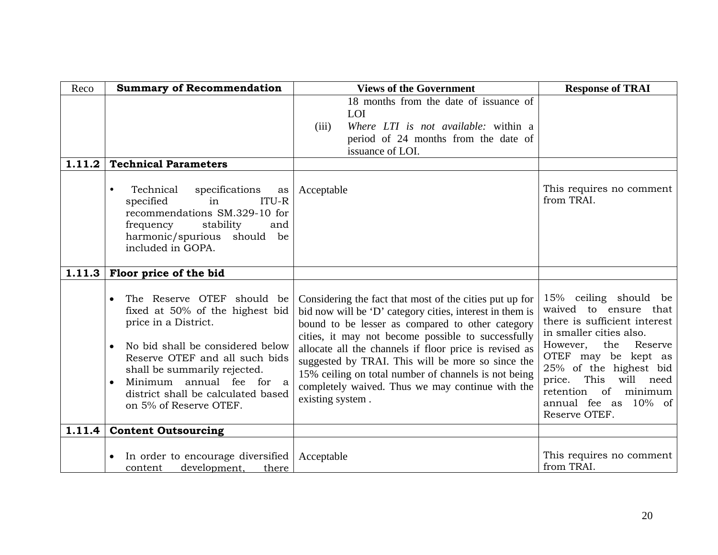| Reco   | <b>Summary of Recommendation</b>                                                                                                                                                                                                                                                                                  | <b>Views of the Government</b>                                                                                                                                                                                                                                                                                                                                                                                                                                               | <b>Response of TRAI</b>                                                                                                                                                                                                                                                                        |
|--------|-------------------------------------------------------------------------------------------------------------------------------------------------------------------------------------------------------------------------------------------------------------------------------------------------------------------|------------------------------------------------------------------------------------------------------------------------------------------------------------------------------------------------------------------------------------------------------------------------------------------------------------------------------------------------------------------------------------------------------------------------------------------------------------------------------|------------------------------------------------------------------------------------------------------------------------------------------------------------------------------------------------------------------------------------------------------------------------------------------------|
|        |                                                                                                                                                                                                                                                                                                                   | 18 months from the date of issuance of<br>LOI<br>Where LTI is not available: within a<br>(iii)<br>period of 24 months from the date of<br>issuance of LOI.                                                                                                                                                                                                                                                                                                                   |                                                                                                                                                                                                                                                                                                |
| 1.11.2 | <b>Technical Parameters</b>                                                                                                                                                                                                                                                                                       |                                                                                                                                                                                                                                                                                                                                                                                                                                                                              |                                                                                                                                                                                                                                                                                                |
|        | Technical<br>specifications<br>$\bullet$<br>as<br>ITU-R<br>specified<br>in<br>recommendations SM.329-10 for<br>frequency<br>stability<br>and<br>harmonic/spurious should be<br>included in GOPA.                                                                                                                  | Acceptable                                                                                                                                                                                                                                                                                                                                                                                                                                                                   | This requires no comment<br>from TRAI.                                                                                                                                                                                                                                                         |
|        | $1.11.3$ Floor price of the bid                                                                                                                                                                                                                                                                                   |                                                                                                                                                                                                                                                                                                                                                                                                                                                                              |                                                                                                                                                                                                                                                                                                |
|        | The Reserve OTEF should be<br>fixed at 50% of the highest bid<br>price in a District.<br>No bid shall be considered below<br>$\bullet$<br>Reserve OTEF and all such bids<br>shall be summarily rejected.<br>Minimum annual fee for a<br>$\bullet$<br>district shall be calculated based<br>on 5% of Reserve OTEF. | Considering the fact that most of the cities put up for<br>bid now will be 'D' category cities, interest in them is<br>bound to be lesser as compared to other category<br>cities, it may not become possible to successfully<br>allocate all the channels if floor price is revised as<br>suggested by TRAI. This will be more so since the<br>15% ceiling on total number of channels is not being<br>completely waived. Thus we may continue with the<br>existing system. | 15% ceiling should be<br>waived to ensure that<br>there is sufficient interest<br>in smaller cities also.<br>Reserve<br>However,<br>the<br>OTEF may be kept as<br>25% of the highest bid<br>This<br>will need<br>price.<br>retention<br>of<br>minimum<br>annual fee as 10% of<br>Reserve OTEF. |
| 1.11.4 | <b>Content Outsourcing</b>                                                                                                                                                                                                                                                                                        |                                                                                                                                                                                                                                                                                                                                                                                                                                                                              |                                                                                                                                                                                                                                                                                                |
|        | In order to encourage diversified<br>$\bullet$<br>development,<br>there<br>content                                                                                                                                                                                                                                | Acceptable                                                                                                                                                                                                                                                                                                                                                                                                                                                                   | This requires no comment<br>from TRAI.                                                                                                                                                                                                                                                         |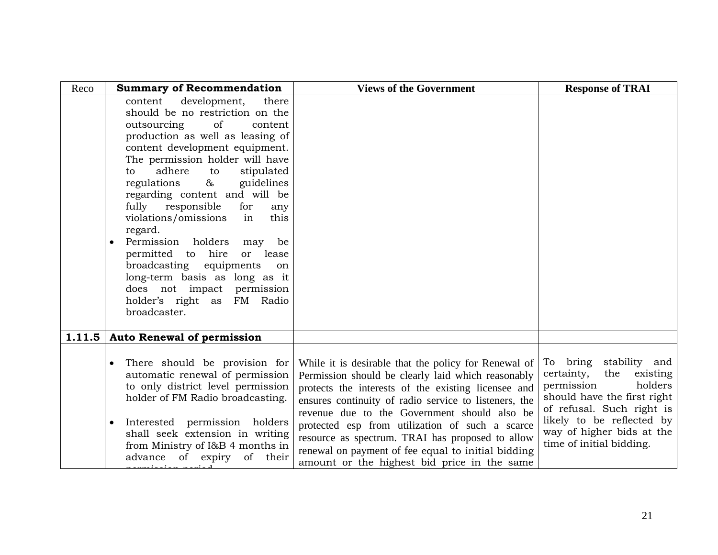| Reco   | <b>Summary of Recommendation</b>                                                                                                                                                                                                                                                                                                                                                                                                                                                                                                                                                                                                       | <b>Views of the Government</b>                                                                                                                                                                                                                                                                                                                                                                                                                                                         | <b>Response of TRAI</b>                                                                                                                                                                                                            |
|--------|----------------------------------------------------------------------------------------------------------------------------------------------------------------------------------------------------------------------------------------------------------------------------------------------------------------------------------------------------------------------------------------------------------------------------------------------------------------------------------------------------------------------------------------------------------------------------------------------------------------------------------------|----------------------------------------------------------------------------------------------------------------------------------------------------------------------------------------------------------------------------------------------------------------------------------------------------------------------------------------------------------------------------------------------------------------------------------------------------------------------------------------|------------------------------------------------------------------------------------------------------------------------------------------------------------------------------------------------------------------------------------|
|        | development,<br>content<br>there<br>should be no restriction on the<br>outsourcing<br>of<br>content<br>production as well as leasing of<br>content development equipment.<br>The permission holder will have<br>adhere<br>to<br>stipulated<br>to<br>$\infty$<br>regulations<br>guidelines<br>regarding content and will be<br>fully<br>responsible<br>for<br>any<br>this<br>violations/omissions<br>in<br>regard.<br>Permission holders<br>be<br>may<br>permitted to hire<br>or lease<br>broadcasting<br>equipments<br>on<br>long-term basis as long as it<br>does not impact permission<br>holder's right as FM Radio<br>broadcaster. |                                                                                                                                                                                                                                                                                                                                                                                                                                                                                        |                                                                                                                                                                                                                                    |
| 1.11.5 | <b>Auto Renewal of permission</b>                                                                                                                                                                                                                                                                                                                                                                                                                                                                                                                                                                                                      |                                                                                                                                                                                                                                                                                                                                                                                                                                                                                        |                                                                                                                                                                                                                                    |
|        | There should be provision for<br>automatic renewal of permission<br>to only district level permission<br>holder of FM Radio broadcasting.<br>Interested permission holders<br>shall seek extension in writing<br>from Ministry of I&B 4 months in<br>advance of expiry<br>their<br>of                                                                                                                                                                                                                                                                                                                                                  | While it is desirable that the policy for Renewal of<br>Permission should be clearly laid which reasonably<br>protects the interests of the existing licensee and<br>ensures continuity of radio service to listeners, the<br>revenue due to the Government should also be<br>protected esp from utilization of such a scarce<br>resource as spectrum. TRAI has proposed to allow<br>renewal on payment of fee equal to initial bidding<br>amount or the highest bid price in the same | To bring stability and<br>certainty,<br>the<br>existing<br>permission<br>holders<br>should have the first right<br>of refusal. Such right is<br>likely to be reflected by<br>way of higher bids at the<br>time of initial bidding. |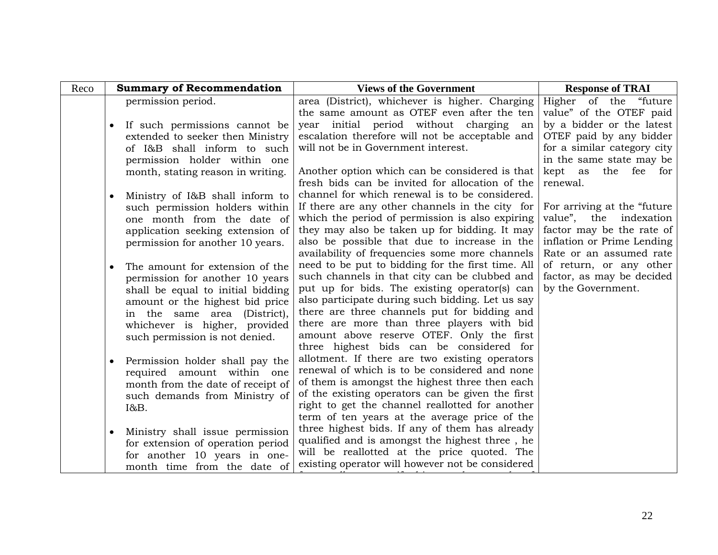| Reco | <b>Summary of Recommendation</b>                                   | <b>Views of the Government</b>                                                                    | <b>Response of TRAI</b>                               |
|------|--------------------------------------------------------------------|---------------------------------------------------------------------------------------------------|-------------------------------------------------------|
|      | permission period.                                                 | area (District), whichever is higher. Charging                                                    | Higher of the "future                                 |
|      | If such permissions cannot be<br>$\bullet$                         | the same amount as OTEF even after the ten<br>year initial period without charging<br>an          | value" of the OTEF paid<br>by a bidder or the latest  |
|      | extended to seeker then Ministry                                   | escalation therefore will not be acceptable and                                                   | OTEF paid by any bidder                               |
|      | of I&B shall inform to such                                        | will not be in Government interest.                                                               | for a similar category city                           |
|      | permission holder within one                                       |                                                                                                   | in the same state may be                              |
|      | month, stating reason in writing.                                  | Another option which can be considered is that<br>fresh bids can be invited for allocation of the | the fee for<br>kept as<br>renewal.                    |
|      | Ministry of I&B shall inform to<br>$\bullet$                       | channel for which renewal is to be considered.                                                    |                                                       |
|      | such permission holders within                                     | If there are any other channels in the city for                                                   | For arriving at the "future                           |
|      | one month from the date of                                         | which the period of permission is also expiring                                                   | value", the indexation                                |
|      | application seeking extension of                                   | they may also be taken up for bidding. It may                                                     | factor may be the rate of                             |
|      | permission for another 10 years.                                   | also be possible that due to increase in the<br>availability of frequencies some more channels    | inflation or Prime Lending<br>Rate or an assumed rate |
|      | The amount for extension of the                                    | need to be put to bidding for the first time. All                                                 | of return, or any other                               |
|      | permission for another 10 years                                    | such channels in that city can be clubbed and                                                     | factor, as may be decided                             |
|      | shall be equal to initial bidding                                  | put up for bids. The existing operator(s) can                                                     | by the Government.                                    |
|      | amount or the highest bid price                                    | also participate during such bidding. Let us say                                                  |                                                       |
|      | in the same area (District),                                       | there are three channels put for bidding and                                                      |                                                       |
|      | whichever is higher, provided                                      | there are more than three players with bid                                                        |                                                       |
|      | such permission is not denied.                                     | amount above reserve OTEF. Only the first                                                         |                                                       |
|      |                                                                    | three highest bids can be considered for                                                          |                                                       |
|      | Permission holder shall pay the<br>$\bullet$                       | allotment. If there are two existing operators<br>renewal of which is to be considered and none   |                                                       |
|      | required amount within one                                         | of them is amongst the highest three then each                                                    |                                                       |
|      | month from the date of receipt of<br>such demands from Ministry of | of the existing operators can be given the first                                                  |                                                       |
|      | 1&8B.                                                              | right to get the channel reallotted for another                                                   |                                                       |
|      |                                                                    | term of ten years at the average price of the                                                     |                                                       |
|      | Ministry shall issue permission<br>$\bullet$                       | three highest bids. If any of them has already                                                    |                                                       |
|      | for extension of operation period                                  | qualified and is amongst the highest three, he                                                    |                                                       |
|      | for another 10 years in one-                                       | will be reallotted at the price quoted. The                                                       |                                                       |
|      | month time from the date of                                        | existing operator will however not be considered                                                  |                                                       |